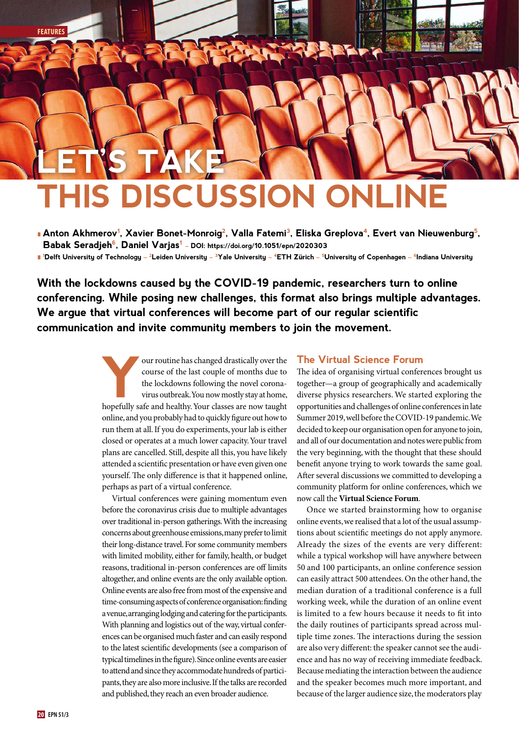# **THIS DISCUSSION ONLINE LET'S TAKE**

**Anton Akhmerov<sup>1</sup>, Xavier Bonet-Monroig<sup>2</sup>, Valla Fatemi<sup>3</sup>, Eliska Greplova<sup>4</sup>, Evert van Nieuwenburg<sup>5</sup>, Babak Seradjeh6, Daniel Varjas1 – DOI: https://doi.org/10.1051/epn/2020303**

l **1 Delft University of Technology – 2Leiden University – 3Yale University – 4ETH Zürich – 5University of Copenhagen – 6Indiana University**

**With the lockdowns caused by the COVID-19 pandemic, researchers turn to online conferencing. While posing new challenges, this format also brings multiple advantages. We argue that virtual conferences will become part of our regular scientific communication and invite community members to join the movement.**

> Four routine has changed drastically over the<br>course of the last couple of months due to<br>the lockdowns following the novel corona-<br>virus outbreak. You now mostly stay at home,<br>honefully safe and healthy Your classes are no course of the last couple of months due to the lockdowns following the novel coronavirus outbreak. You now mostly stay at home, hopefully safe and healthy. Your classes are now taught online, and you probably had to quickly figure out how to run them at all. If you do experiments, your lab is either closed or operates at a much lower capacity. Your travel plans are cancelled. Still, despite all this, you have likely attended a scientific presentation or have even given one yourself. The only difference is that it happened online, perhaps as part of a virtual conference.

> Virtual conferences were gaining momentum even before the coronavirus crisis due to multiple advantages over traditional in-person gatherings. With the increasing concerns about greenhouse emissions, many prefer to limit their long-distance travel. For some community members with limited mobility, either for family, health, or budget reasons, traditional in-person conferences are off limits altogether, and online events are the only available option. Online events are also free from most of the expensive and time-consuming aspects of conference organisation: finding a venue, arranging lodging and catering for the participants. With planning and logistics out of the way, virtual conferences can be organised much faster and can easily respond to the latest scientific developments (see a comparison of typical timelines in the figure). Since online events are easier to attend and since they accommodate hundreds of participants, they are also more inclusive. If the talks are recorded and published, they reach an even broader audience.

#### **The Virtual Science Forum**

The idea of organising virtual conferences brought us together—a group of geographically and academically diverse physics researchers. We started exploring the opportunities and challenges of online conferences in late Summer 2019, well before the COVID-19 pandemic. We decided to keep our organisation open for anyone to join, and all of our documentation and notes were public from the very beginning, with the thought that these should benefit anyone trying to work towards the same goal. After several discussions we committed to developing a community platform for online conferences, which we now call the **Virtual Science Forum**.

Once we started brainstorming how to organise online events, we realised that a lot of the usual assumptions about scientific meetings do not apply anymore. Already the sizes of the events are very different: while a typical workshop will have anywhere between 50 and 100 participants, an online conference session can easily attract 500 attendees. On the other hand, the median duration of a traditional conference is a full working week, while the duration of an online event is limited to a few hours because it needs to fit into the daily routines of participants spread across multiple time zones. The interactions during the session are also very different: the speaker cannot see the audience and has no way of receiving immediate feedback. Because mediating the interaction between the audience and the speaker becomes much more important, and because of the larger audience size, the moderators play

**FEATURES**